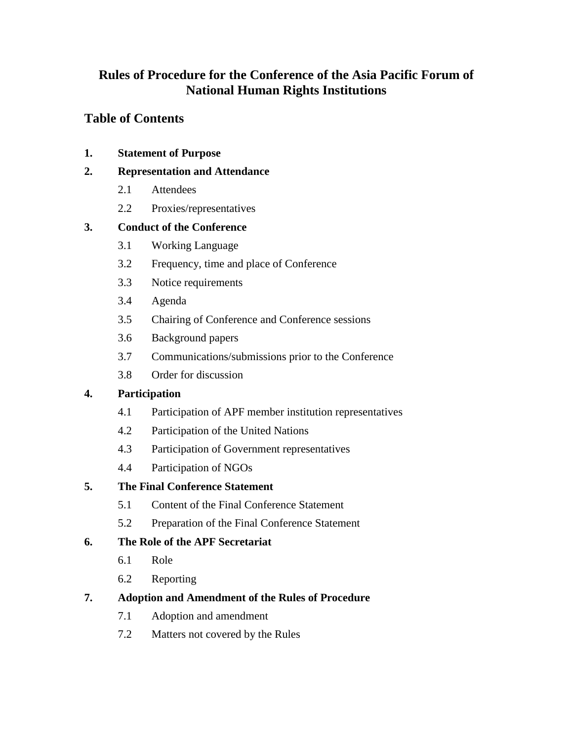# **Rules of Procedure for the Conference of the Asia Pacific Forum of National Human Rights Institutions**

# **Table of Contents**

**1. Statement of Purpose**

## **2. Representation and Attendance**

- 2.1 Attendees
- 2.2 Proxies/representatives

## **3. Conduct of the Conference**

- 3.1 Working Language
- 3.2 Frequency, time and place of Conference
- 3.3 Notice requirements
- 3.4 Agenda
- 3.5 Chairing of Conference and Conference sessions
- 3.6 Background papers
- 3.7 Communications/submissions prior to the Conference
- 3.8 Order for discussion

## **4. Participation**

- 4.1 Participation of APF member institution representatives
- 4.2 Participation of the United Nations
- 4.3 Participation of Government representatives
- 4.4 Participation of NGOs

## **5. The Final Conference Statement**

- 5.1 Content of the Final Conference Statement
- 5.2 Preparation of the Final Conference Statement

## **6. The Role of the APF Secretariat**

- 6.1 Role
- 6.2 Reporting

## **7. Adoption and Amendment of the Rules of Procedure**

- 7.1 Adoption and amendment
- 7.2 Matters not covered by the Rules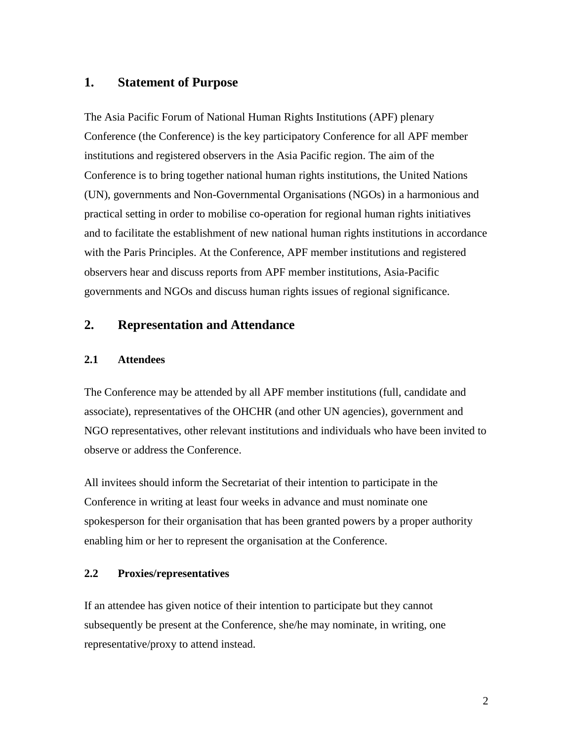### **1. Statement of Purpose**

The Asia Pacific Forum of National Human Rights Institutions (APF) plenary Conference (the Conference) is the key participatory Conference for all APF member institutions and registered observers in the Asia Pacific region. The aim of the Conference is to bring together national human rights institutions, the United Nations (UN), governments and Non-Governmental Organisations (NGOs) in a harmonious and practical setting in order to mobilise co-operation for regional human rights initiatives and to facilitate the establishment of new national human rights institutions in accordance with the Paris Principles. At the Conference, APF member institutions and registered observers hear and discuss reports from APF member institutions, Asia-Pacific governments and NGOs and discuss human rights issues of regional significance.

## **2. Representation and Attendance**

#### **2.1 Attendees**

The Conference may be attended by all APF member institutions (full, candidate and associate), representatives of the OHCHR (and other UN agencies), government and NGO representatives, other relevant institutions and individuals who have been invited to observe or address the Conference.

All invitees should inform the Secretariat of their intention to participate in the Conference in writing at least four weeks in advance and must nominate one spokesperson for their organisation that has been granted powers by a proper authority enabling him or her to represent the organisation at the Conference.

#### **2.2 Proxies/representatives**

If an attendee has given notice of their intention to participate but they cannot subsequently be present at the Conference, she/he may nominate, in writing, one representative/proxy to attend instead.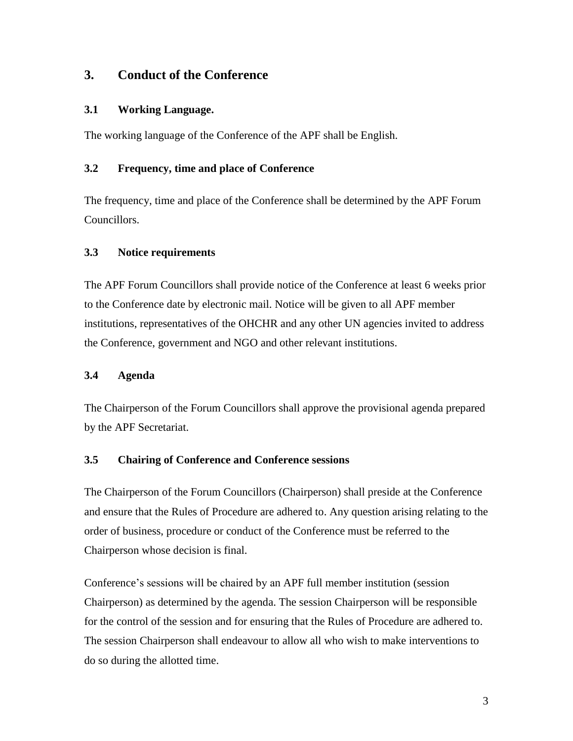## **3. Conduct of the Conference**

### **3.1 Working Language.**

The working language of the Conference of the APF shall be English.

#### **3.2 Frequency, time and place of Conference**

The frequency, time and place of the Conference shall be determined by the APF Forum Councillors.

#### **3.3 Notice requirements**

The APF Forum Councillors shall provide notice of the Conference at least 6 weeks prior to the Conference date by electronic mail. Notice will be given to all APF member institutions, representatives of the OHCHR and any other UN agencies invited to address the Conference, government and NGO and other relevant institutions.

### **3.4 Agenda**

The Chairperson of the Forum Councillors shall approve the provisional agenda prepared by the APF Secretariat.

### **3.5 Chairing of Conference and Conference sessions**

The Chairperson of the Forum Councillors (Chairperson) shall preside at the Conference and ensure that the Rules of Procedure are adhered to. Any question arising relating to the order of business, procedure or conduct of the Conference must be referred to the Chairperson whose decision is final.

Conference's sessions will be chaired by an APF full member institution (session Chairperson) as determined by the agenda. The session Chairperson will be responsible for the control of the session and for ensuring that the Rules of Procedure are adhered to. The session Chairperson shall endeavour to allow all who wish to make interventions to do so during the allotted time.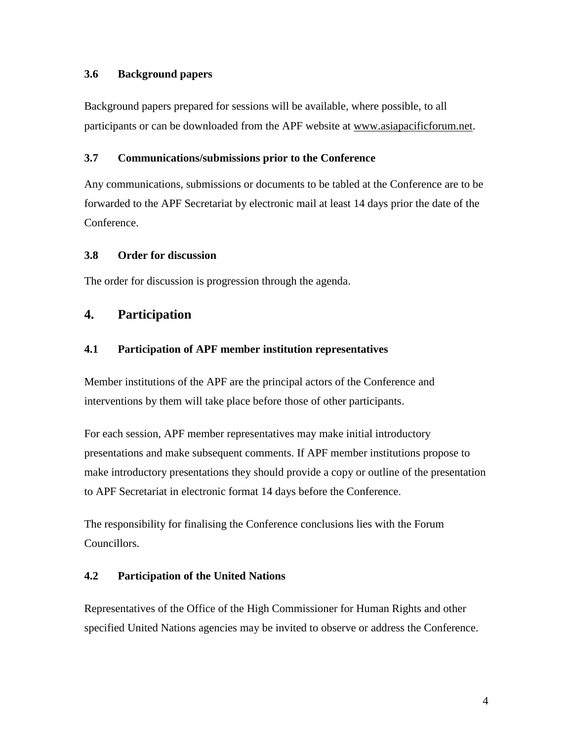#### **3.6 Background papers**

Background papers prepared for sessions will be available, where possible, to all participants or can be downloaded from the APF website at [www.asiapacificforum.net.](http://www.asiapacificforum.net/)

#### **3.7 Communications/submissions prior to the Conference**

Any communications, submissions or documents to be tabled at the Conference are to be forwarded to the APF Secretariat by electronic mail at least 14 days prior the date of the Conference.

### **3.8 Order for discussion**

The order for discussion is progression through the agenda.

## **4. Participation**

### **4.1 Participation of APF member institution representatives**

Member institutions of the APF are the principal actors of the Conference and interventions by them will take place before those of other participants.

For each session, APF member representatives may make initial introductory presentations and make subsequent comments. If APF member institutions propose to make introductory presentations they should provide a copy or outline of the presentation to APF Secretariat in electronic format 14 days before the Conference.

The responsibility for finalising the Conference conclusions lies with the Forum Councillors.

### **4.2 Participation of the United Nations**

Representatives of the Office of the High Commissioner for Human Rights and other specified United Nations agencies may be invited to observe or address the Conference.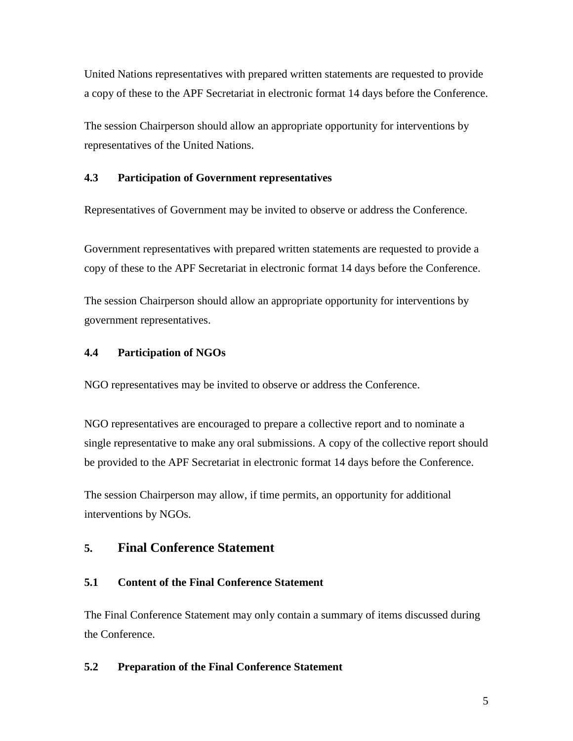United Nations representatives with prepared written statements are requested to provide a copy of these to the APF Secretariat in electronic format 14 days before the Conference.

The session Chairperson should allow an appropriate opportunity for interventions by representatives of the United Nations.

### **4.3 Participation of Government representatives**

Representatives of Government may be invited to observe or address the Conference.

Government representatives with prepared written statements are requested to provide a copy of these to the APF Secretariat in electronic format 14 days before the Conference.

The session Chairperson should allow an appropriate opportunity for interventions by government representatives.

### **4.4 Participation of NGOs**

NGO representatives may be invited to observe or address the Conference.

NGO representatives are encouraged to prepare a collective report and to nominate a single representative to make any oral submissions. A copy of the collective report should be provided to the APF Secretariat in electronic format 14 days before the Conference.

The session Chairperson may allow, if time permits, an opportunity for additional interventions by NGOs.

## **5. Final Conference Statement**

### **5.1 Content of the Final Conference Statement**

The Final Conference Statement may only contain a summary of items discussed during the Conference.

### **5.2 Preparation of the Final Conference Statement**